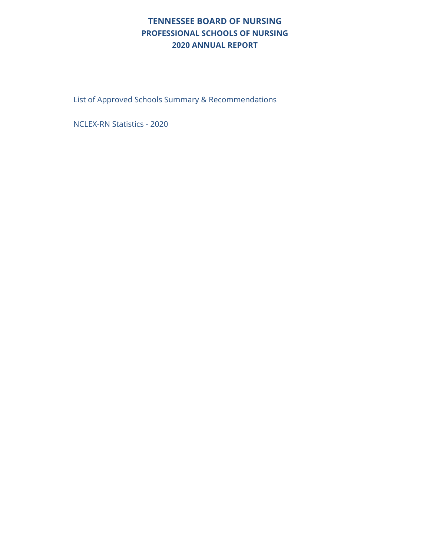#### **TENNESSEE BOARD OF NURSING PROFESSIONAL SCHOOLS OF NURSING 2020 ANNUAL REPORT**

List of Approved Schools Summary & Recommendations

NCLEX-RN Statistics - 2020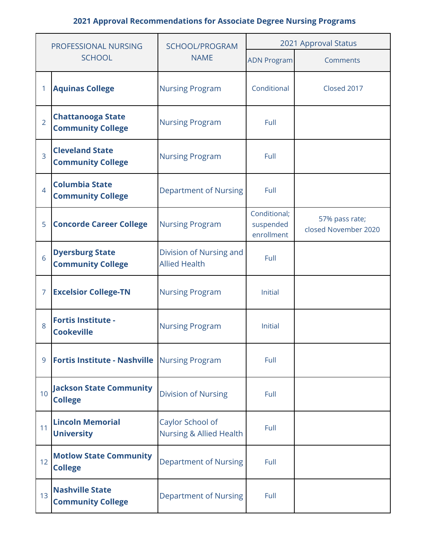| PROFESSIONAL NURSING |                                                      | SCHOOL/PROGRAM                                  | 2021 Approval Status                    |                                        |  |  |
|----------------------|------------------------------------------------------|-------------------------------------------------|-----------------------------------------|----------------------------------------|--|--|
|                      | <b>SCHOOL</b>                                        | <b>NAME</b>                                     | <b>ADN Program</b>                      | Comments                               |  |  |
| 1                    | <b>Aquinas College</b>                               | <b>Nursing Program</b>                          | Conditional                             | Closed 2017                            |  |  |
| $\overline{2}$       | <b>Chattanooga State</b><br><b>Community College</b> | <b>Nursing Program</b>                          | Full                                    |                                        |  |  |
| $\overline{3}$       | <b>Cleveland State</b><br><b>Community College</b>   | <b>Nursing Program</b>                          | Full                                    |                                        |  |  |
| $\overline{4}$       | <b>Columbia State</b><br><b>Community College</b>    | <b>Department of Nursing</b>                    | Full                                    |                                        |  |  |
| 5                    | <b>Concorde Career College</b>                       | <b>Nursing Program</b>                          | Conditional;<br>suspended<br>enrollment | 57% pass rate;<br>closed November 2020 |  |  |
| 6                    | <b>Dyersburg State</b><br><b>Community College</b>   | Division of Nursing and<br><b>Allied Health</b> | Full                                    |                                        |  |  |
| $\overline{7}$       | <b>Excelsior College-TN</b>                          | <b>Nursing Program</b>                          | <b>Initial</b>                          |                                        |  |  |
| 8                    | <b>Fortis Institute -</b><br><b>Cookeville</b>       | <b>Nursing Program</b>                          | <b>Initial</b>                          |                                        |  |  |
| 9                    | Fortis Institute - Nashville Nursing Program         |                                                 | Full                                    |                                        |  |  |
| 10                   | <b>Jackson State Community</b><br><b>College</b>     | <b>Division of Nursing</b>                      | Full                                    |                                        |  |  |
| 11                   | <b>Lincoln Memorial</b><br><b>University</b>         | Caylor School of<br>Nursing & Allied Health     | Full                                    |                                        |  |  |
| 12                   | <b>Motlow State Community</b><br><b>College</b>      | <b>Department of Nursing</b>                    | Full                                    |                                        |  |  |
| 13                   | <b>Nashville State</b><br><b>Community College</b>   | <b>Department of Nursing</b>                    | Full                                    |                                        |  |  |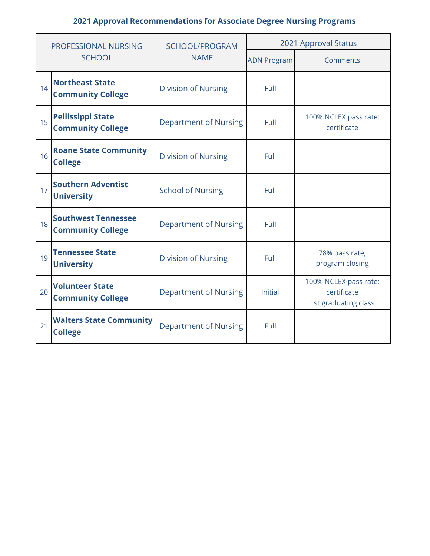| PROFESSIONAL NURSING |                                                        | <b>SCHOOL/PROGRAM</b>        | 2021 Approval Status |                                                              |  |  |
|----------------------|--------------------------------------------------------|------------------------------|----------------------|--------------------------------------------------------------|--|--|
|                      | <b>SCHOOL</b>                                          | <b>NAME</b>                  | <b>ADN Program</b>   | Comments                                                     |  |  |
| 14                   | <b>Northeast State</b><br><b>Community College</b>     | <b>Division of Nursing</b>   | Full                 |                                                              |  |  |
| 15                   | <b>Pellissippi State</b><br><b>Community College</b>   | <b>Department of Nursing</b> | Full                 | 100% NCLEX pass rate;<br>certificate                         |  |  |
| 16                   | <b>Roane State Community</b><br><b>College</b>         | <b>Division of Nursing</b>   | Full                 |                                                              |  |  |
| 17                   | <b>Southern Adventist</b><br><b>University</b>         | <b>School of Nursing</b>     | Full                 |                                                              |  |  |
| 18                   | <b>Southwest Tennessee</b><br><b>Community College</b> | <b>Department of Nursing</b> | Full                 |                                                              |  |  |
| 19                   | <b>Tennessee State</b><br><b>University</b>            | <b>Division of Nursing</b>   | Full                 | 78% pass rate;<br>program closing                            |  |  |
| 20                   | <b>Volunteer State</b><br><b>Community College</b>     | <b>Department of Nursing</b> | <b>Initial</b>       | 100% NCLEX pass rate;<br>certificate<br>1st graduating class |  |  |
| 21                   | <b>Walters State Community</b><br><b>College</b>       | <b>Department of Nursing</b> | Full                 |                                                              |  |  |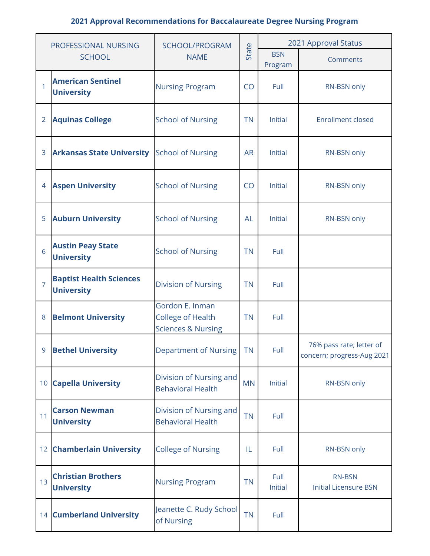| PROFESSIONAL NURSING |                                                     | SCHOOL/PROGRAM                                                               |           | 2021 Approval Status  |                                                        |  |  |
|----------------------|-----------------------------------------------------|------------------------------------------------------------------------------|-----------|-----------------------|--------------------------------------------------------|--|--|
|                      | <b>SCHOOL</b>                                       | <b>NAME</b>                                                                  | State     | <b>BSN</b><br>Program | Comments                                               |  |  |
| 1                    | <b>American Sentinel</b><br><b>University</b>       | <b>Nursing Program</b>                                                       | CO        | Full                  | RN-BSN only                                            |  |  |
| $\overline{2}$       | <b>Aquinas College</b>                              | <b>School of Nursing</b>                                                     | <b>TN</b> | Initial               | <b>Enrollment closed</b>                               |  |  |
| 3                    | <b>Arkansas State University</b>                    | <b>School of Nursing</b>                                                     | <b>AR</b> | Initial               | RN-BSN only                                            |  |  |
| $\overline{4}$       | <b>Aspen University</b>                             | <b>School of Nursing</b>                                                     | CO        | Initial               | RN-BSN only                                            |  |  |
| 5                    | <b>Auburn University</b>                            | <b>School of Nursing</b>                                                     | <b>AL</b> | Initial               | RN-BSN only                                            |  |  |
| 6                    | <b>Austin Peay State</b><br><b>University</b>       | <b>School of Nursing</b>                                                     | <b>TN</b> | Full                  |                                                        |  |  |
| $\overline{7}$       | <b>Baptist Health Sciences</b><br><b>University</b> | <b>Division of Nursing</b>                                                   | <b>TN</b> | Full                  |                                                        |  |  |
| 8                    | <b>Belmont University</b>                           | Gordon E. Inman<br><b>College of Health</b><br><b>Sciences &amp; Nursing</b> | <b>TN</b> | Full                  |                                                        |  |  |
| 9                    | <b>Bethel University</b>                            | Department of Nursing                                                        | TN        | Full                  | 76% pass rate; letter of<br>concern; progress-Aug 2021 |  |  |
| 10 <sup>°</sup>      | <b>Capella University</b>                           | Division of Nursing and<br><b>Behavioral Health</b>                          | <b>MN</b> | Initial               | RN-BSN only                                            |  |  |
| 11                   | <b>Carson Newman</b><br><b>University</b>           | Division of Nursing and<br><b>Behavioral Health</b>                          | <b>TN</b> | Full                  |                                                        |  |  |
|                      | 12 Chamberlain University                           | <b>College of Nursing</b>                                                    | IL        | Full                  | RN-BSN only                                            |  |  |
| 13                   | <b>Christian Brothers</b><br><b>University</b>      | <b>Nursing Program</b>                                                       | <b>TN</b> | Full<br>Initial       | <b>RN-BSN</b><br><b>Initial Licensure BSN</b>          |  |  |
|                      | <b>14 Cumberland University</b>                     | Jeanette C. Rudy School<br>of Nursing                                        | <b>TN</b> | Full                  |                                                        |  |  |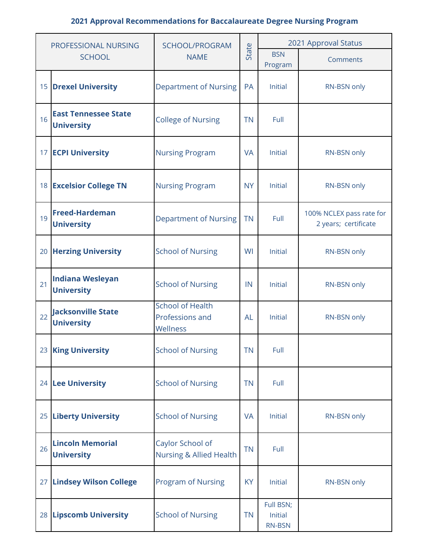| PROFESSIONAL NURSING |                                                  | SCHOOL/PROGRAM                                                      |                      | 2021 Approval Status                  |                                                  |  |  |
|----------------------|--------------------------------------------------|---------------------------------------------------------------------|----------------------|---------------------------------------|--------------------------------------------------|--|--|
|                      | <b>SCHOOL</b>                                    | State<br><b>NAME</b><br>Program                                     |                      | <b>BSN</b>                            | Comments                                         |  |  |
|                      | <b>15 Drexel University</b>                      | <b>Department of Nursing</b>                                        | PA                   | Initial                               | RN-BSN only                                      |  |  |
| 16                   | <b>East Tennessee State</b><br><b>University</b> | <b>College of Nursing</b>                                           | <b>TN</b>            | Full                                  |                                                  |  |  |
|                      | 17 ECPI University                               | <b>Nursing Program</b>                                              | <b>VA</b>            | Initial                               | RN-BSN only                                      |  |  |
|                      | 18 Excelsior College TN                          | <b>Nursing Program</b>                                              | <b>NY</b>            | Initial                               | RN-BSN only                                      |  |  |
| 19                   | <b>Freed-Hardeman</b><br><b>University</b>       | <b>Department of Nursing</b>                                        | <b>TN</b>            | Full                                  | 100% NCLEX pass rate for<br>2 years; certificate |  |  |
|                      | 20 Herzing University                            | <b>School of Nursing</b>                                            | WI                   | Initial                               | RN-BSN only                                      |  |  |
| 21                   | <b>Indiana Wesleyan</b><br><b>University</b>     | <b>School of Nursing</b>                                            | Initial<br>IN        |                                       | RN-BSN only                                      |  |  |
| 22                   | <b>Jacksonville State</b><br><b>University</b>   | <b>School of Health</b><br>Professions and<br>Wellness              | <b>AL</b>            | Initial                               | RN-BSN only                                      |  |  |
|                      | 23 King University                               | <b>School of Nursing</b>                                            | ΤN                   | Full                                  |                                                  |  |  |
|                      | 24 Lee University                                | <b>School of Nursing</b>                                            | <b>TN</b>            | Full                                  |                                                  |  |  |
|                      | 25 Liberty University                            | <b>School of Nursing</b>                                            | <b>VA</b>            | Initial                               | RN-BSN only                                      |  |  |
| 26                   | <b>Lincoln Memorial</b><br><b>University</b>     | Caylor School of<br><b>TN</b><br><b>Nursing &amp; Allied Health</b> |                      | Full                                  |                                                  |  |  |
|                      | 27 Lindsey Wilson College                        | <b>Program of Nursing</b>                                           | Initial<br><b>KY</b> |                                       | RN-BSN only                                      |  |  |
|                      | 28 Lipscomb University                           | <b>School of Nursing</b>                                            | <b>TN</b>            | Full BSN;<br>Initial<br><b>RN-BSN</b> |                                                  |  |  |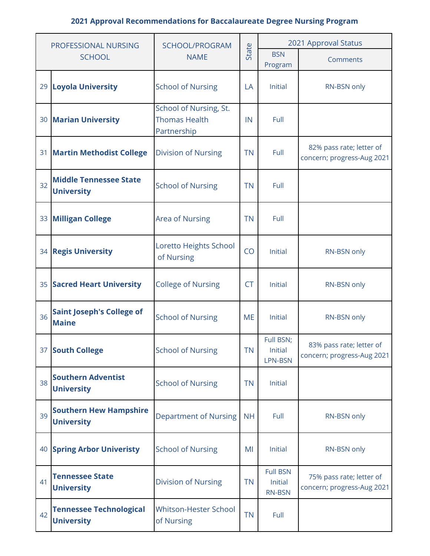| PROFESSIONAL NURSING |                                                     | SCHOOL/PROGRAM                                                |           | 2021 Approval Status                        |                                                        |  |  |
|----------------------|-----------------------------------------------------|---------------------------------------------------------------|-----------|---------------------------------------------|--------------------------------------------------------|--|--|
|                      | <b>SCHOOL</b>                                       | <b>NAME</b>                                                   | State     | <b>BSN</b><br>Program                       | Comments                                               |  |  |
|                      | 29 Loyola University                                | <b>School of Nursing</b>                                      | LA        | Initial                                     | RN-BSN only                                            |  |  |
|                      | <b>30 Marian University</b>                         | School of Nursing, St.<br><b>Thomas Health</b><br>Partnership | IN        | Full                                        |                                                        |  |  |
| 31                   | <b>Martin Methodist College</b>                     | <b>Division of Nursing</b>                                    | <b>TN</b> | Full                                        | 82% pass rate; letter of<br>concern; progress-Aug 2021 |  |  |
| 32                   | <b>Middle Tennessee State</b><br><b>University</b>  | <b>School of Nursing</b>                                      | <b>TN</b> | Full                                        |                                                        |  |  |
|                      | 33 Milligan College                                 | <b>Area of Nursing</b>                                        | <b>TN</b> | Full                                        |                                                        |  |  |
|                      | 34 Regis University                                 | Loretto Heights School<br>of Nursing                          | CO        | Initial                                     | RN-BSN only                                            |  |  |
|                      | 35 Sacred Heart University                          | <b>College of Nursing</b>                                     | <b>CT</b> | Initial                                     | RN-BSN only                                            |  |  |
| 36                   | <b>Saint Joseph's College of</b><br><b>Maine</b>    | <b>School of Nursing</b>                                      | <b>ME</b> | Initial                                     | RN-BSN only                                            |  |  |
|                      | 37 South College                                    | <b>School of Nursing</b>                                      | <b>TN</b> | Full BSN;<br>Initial<br>LPN-BSN             | 83% pass rate; letter of<br>concern; progress-Aug 2021 |  |  |
| 38                   | <b>Southern Adventist</b><br><b>University</b>      | <b>School of Nursing</b>                                      | <b>TN</b> | Initial                                     |                                                        |  |  |
| 39                   | <b>Southern Hew Hampshire</b><br><b>University</b>  | <b>Department of Nursing</b>                                  | <b>NH</b> | Full                                        | RN-BSN only                                            |  |  |
|                      | <b>40 Spring Arbor Univeristy</b>                   | <b>School of Nursing</b>                                      | MI        | Initial                                     | RN-BSN only                                            |  |  |
| 41                   | <b>Tennessee State</b><br><b>University</b>         | <b>Division of Nursing</b>                                    | <b>TN</b> | <b>Full BSN</b><br>Initial<br><b>RN-BSN</b> | 75% pass rate; letter of<br>concern; progress-Aug 2021 |  |  |
| 42                   | <b>Tennessee Technological</b><br><b>University</b> | Whitson-Hester School<br>of Nursing                           | <b>TN</b> | Full                                        |                                                        |  |  |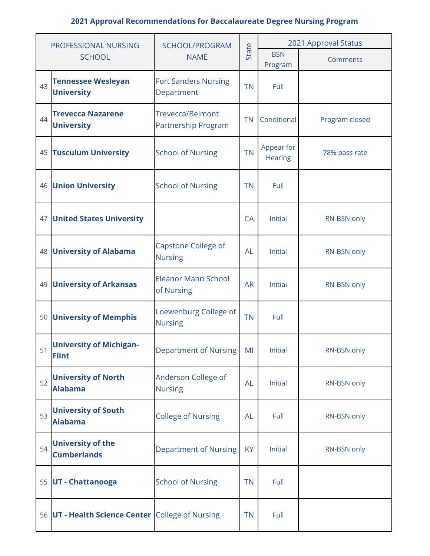| PROFESSIONAL NURSING |                                                  | SCHOOL/PROGRAM                                     |           | 2021 Approval Status         |                |  |  |
|----------------------|--------------------------------------------------|----------------------------------------------------|-----------|------------------------------|----------------|--|--|
|                      | <b>SCHOOL</b>                                    | State<br><b>NAME</b><br>Program                    |           | <b>BSN</b>                   | Comments       |  |  |
| 43                   | <b>Tennessee Wesleyan</b><br><b>University</b>   | <b>Fort Sanders Nursing</b><br>Department          | <b>TN</b> | Full                         |                |  |  |
| 44                   | <b>Trevecca Nazarene</b><br><b>University</b>    | <b>Trevecca/Belmont</b><br>Partnership Program     | <b>TN</b> | Conditional                  | Program closed |  |  |
| 45                   | <b>Tusculum University</b>                       | <b>School of Nursing</b>                           | <b>TN</b> | Appear for<br><b>Hearing</b> | 78% pass rate  |  |  |
| 46                   | <b>Union University</b>                          | <b>School of Nursing</b>                           | <b>TN</b> | Full                         |                |  |  |
|                      | <b>47 United States University</b>               |                                                    | CA        | Initial                      | RN-BSN only    |  |  |
| 48                   | <b>University of Alabama</b>                     | Capstone College of<br><b>AL</b><br><b>Nursing</b> |           | Initial                      | RN-BSN only    |  |  |
|                      | 49 University of Arkansas                        | <b>Eleanor Mann School</b><br>of Nursing           | <b>AR</b> | Initial                      | RN-BSN only    |  |  |
|                      | 50 University of Memphis                         | Loewenburg College of<br><b>Nursing</b>            | <b>TN</b> | Full                         |                |  |  |
| 51                   | <b>University of Michigan-</b><br><b>Flint</b>   | Department of Nursing                              | MI        | Initial                      | RN-BSN only    |  |  |
| 52                   | <b>University of North</b><br><b>Alabama</b>     | Anderson College of<br><b>Nursing</b>              | <b>AL</b> | Initial                      | RN-BSN only    |  |  |
| 53                   | <b>University of South</b><br><b>Alabama</b>     | <b>College of Nursing</b>                          | <b>AL</b> | Full                         | RN-BSN only    |  |  |
| 54                   | <b>University of the</b><br><b>Cumberlands</b>   | Department of Nursing<br><b>KY</b>                 |           | Initial                      | RN-BSN only    |  |  |
|                      | 55 UT - Chattanooga                              | <b>School of Nursing</b>                           | <b>TN</b> | Full                         |                |  |  |
|                      | 56 UT - Health Science Center College of Nursing |                                                    | <b>TN</b> | Full                         |                |  |  |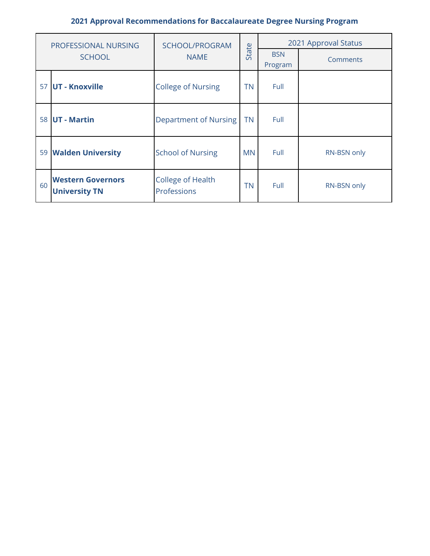| PROFESSIONAL NURSING |                                                  | SCHOOL/PROGRAM                          |           | 2021 Approval Status  |             |  |
|----------------------|--------------------------------------------------|-----------------------------------------|-----------|-----------------------|-------------|--|
|                      | <b>SCHOOL</b>                                    | State<br><b>NAME</b>                    |           | <b>BSN</b><br>Program | Comments    |  |
| 57                   | <b>UT - Knoxville</b>                            | <b>College of Nursing</b>               | ΤN        | Full                  |             |  |
|                      | 58 UT - Martin                                   | Department of Nursing                   | <b>TN</b> | Full                  |             |  |
|                      | 59 Walden University                             | <b>School of Nursing</b>                | <b>MN</b> | Full                  | RN-BSN only |  |
| 60                   | <b>Western Governors</b><br><b>University TN</b> | <b>College of Health</b><br>Professions | <b>TN</b> | Full                  | RN-BSN only |  |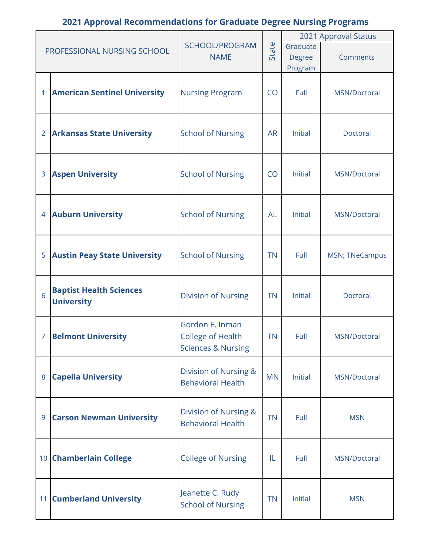|                |                                     |                                                   |           |                          | 2021 Approval Status  |  |
|----------------|-------------------------------------|---------------------------------------------------|-----------|--------------------------|-----------------------|--|
|                | PROFESSIONAL NURSING SCHOOL         | SCHOOL/PROGRAM<br><b>NAME</b>                     | State     | Graduate                 |                       |  |
|                |                                     |                                                   |           | <b>Degree</b><br>Program | Comments              |  |
|                |                                     |                                                   |           |                          |                       |  |
|                | <b>American Sentinel University</b> | <b>Nursing Program</b>                            | CO        | Full                     | MSN/Doctoral          |  |
|                |                                     |                                                   |           |                          |                       |  |
|                |                                     |                                                   |           |                          |                       |  |
| $\overline{2}$ | <b>Arkansas State University</b>    | <b>School of Nursing</b>                          | <b>AR</b> | Initial                  | Doctoral              |  |
|                |                                     |                                                   |           |                          |                       |  |
| 3              | <b>Aspen University</b>             | <b>School of Nursing</b>                          | <b>CO</b> | Initial                  | MSN/Doctoral          |  |
|                |                                     |                                                   |           |                          |                       |  |
|                |                                     |                                                   |           |                          |                       |  |
| 4              | <b>Auburn University</b>            | <b>School of Nursing</b>                          | <b>AL</b> | <b>Initial</b>           | MSN/Doctoral          |  |
|                |                                     |                                                   |           |                          |                       |  |
| 5              | <b>Austin Peay State University</b> | <b>School of Nursing</b>                          | <b>TN</b> | Full                     | <b>MSN; TNeCampus</b> |  |
|                |                                     |                                                   |           |                          |                       |  |
|                | <b>Baptist Health Sciences</b>      |                                                   |           |                          |                       |  |
| 6              | <b>University</b>                   | <b>Division of Nursing</b>                        | <b>TN</b> | <b>Initial</b>           | Doctoral              |  |
|                |                                     |                                                   |           |                          |                       |  |
| 7              |                                     | Gordon E. Inman<br><b>College of Health</b>       | <b>TN</b> | Full                     | MSN/Doctoral          |  |
|                | <b>Belmont University</b>           | <b>Sciences &amp; Nursing</b>                     |           |                          |                       |  |
|                |                                     |                                                   |           |                          |                       |  |
| 8              | <b>Capella University</b>           | Division of Nursing &<br><b>Behavioral Health</b> | <b>MN</b> | Initial                  | MSN/Doctoral          |  |
|                |                                     |                                                   |           |                          |                       |  |
|                |                                     | Division of Nursing &                             |           |                          |                       |  |
| 9              | <b>Carson Newman University</b>     | <b>Behavioral Health</b>                          | <b>TN</b> | Full                     | <b>MSN</b>            |  |
|                |                                     |                                                   |           |                          |                       |  |
|                | 10 Chamberlain College              | <b>College of Nursing</b>                         | IL        | Full                     | MSN/Doctoral          |  |
|                |                                     |                                                   |           |                          |                       |  |
|                |                                     | Jeanette C. Rudy                                  |           |                          |                       |  |
|                | 11 Cumberland University            | <b>School of Nursing</b>                          | <b>TN</b> | Initial                  | <b>MSN</b>            |  |
|                |                                     |                                                   |           |                          |                       |  |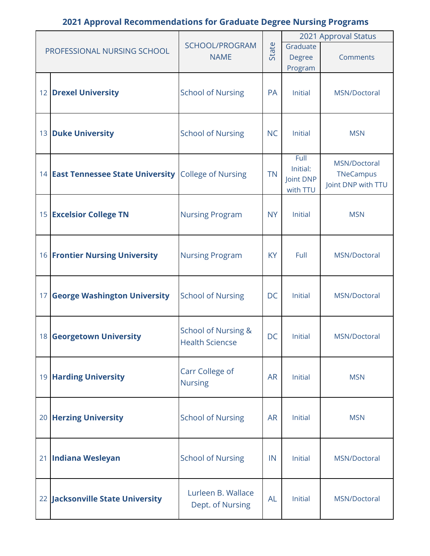|                                                              |                                |           |                | 2021 Approval Status |
|--------------------------------------------------------------|--------------------------------|-----------|----------------|----------------------|
| PROFESSIONAL NURSING SCHOOL                                  | SCHOOL/PROGRAM                 | State     | Graduate       |                      |
|                                                              | <b>NAME</b>                    |           | <b>Degree</b>  | Comments             |
|                                                              |                                |           | Program        |                      |
|                                                              |                                |           |                |                      |
| 12 Drexel University                                         | <b>School of Nursing</b>       | PA        | Initial        | MSN/Doctoral         |
|                                                              |                                |           |                |                      |
|                                                              |                                |           |                |                      |
| 13 Duke University                                           | <b>School of Nursing</b>       | <b>NC</b> | <b>Initial</b> | <b>MSN</b>           |
|                                                              |                                |           |                |                      |
|                                                              |                                |           | Full           | MSN/Doctoral         |
| 14 <b>East Tennessee State University</b> College of Nursing |                                | <b>TN</b> | Initial:       | <b>TNeCampus</b>     |
|                                                              |                                |           | Joint DNP      | Joint DNP with TTU   |
|                                                              |                                |           | with TTU       |                      |
|                                                              |                                | <b>NY</b> | Initial        |                      |
| 15 Excelsior College TN                                      | <b>Nursing Program</b>         |           |                | <b>MSN</b>           |
|                                                              |                                |           |                |                      |
|                                                              |                                |           |                |                      |
| <b>16 Frontier Nursing University</b>                        | <b>Nursing Program</b>         | <b>KY</b> | Full           | MSN/Doctoral         |
|                                                              |                                |           |                |                      |
|                                                              |                                |           |                |                      |
| 17 George Washington University                              | <b>School of Nursing</b>       | <b>DC</b> | Initial        | MSN/Doctoral         |
|                                                              |                                |           |                |                      |
|                                                              | <b>School of Nursing &amp;</b> |           |                |                      |
| 18 Georgetown University                                     | <b>Health Sciencse</b>         | DC        | Initial        | MSN/Doctoral         |
|                                                              |                                |           |                |                      |
|                                                              |                                |           |                |                      |
| 19 Harding University                                        | Carr College of                | <b>AR</b> | Initial        | <b>MSN</b>           |
|                                                              | <b>Nursing</b>                 |           |                |                      |
|                                                              |                                |           |                |                      |
| 20 Herzing University                                        | <b>School of Nursing</b>       | <b>AR</b> | Initial        | <b>MSN</b>           |
|                                                              |                                |           |                |                      |
|                                                              |                                |           |                |                      |
| 21 Indiana Wesleyan                                          | <b>School of Nursing</b>       | IN        | <b>Initial</b> | MSN/Doctoral         |
|                                                              |                                |           |                |                      |
|                                                              |                                |           |                |                      |
|                                                              | Lurleen B. Wallace             | <b>AL</b> | Initial        | MSN/Doctoral         |
| 22 Jacksonville State University                             | Dept. of Nursing               |           |                |                      |
|                                                              |                                |           |                |                      |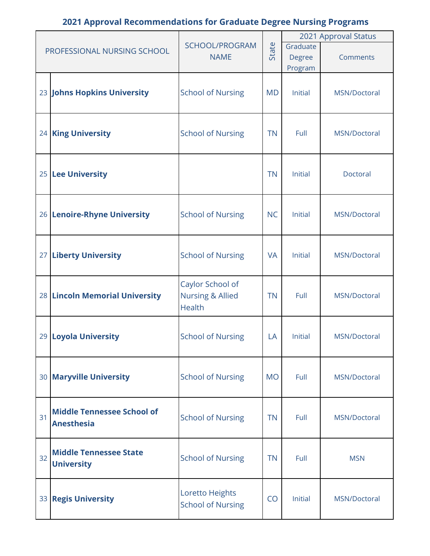|    |                                   |                             |           |                | 2021 Approval Status |
|----|-----------------------------------|-----------------------------|-----------|----------------|----------------------|
|    | PROFESSIONAL NURSING SCHOOL       | SCHOOL/PROGRAM              |           | Graduate       |                      |
|    |                                   | <b>NAME</b>                 | State     | Degree         | Comments             |
|    |                                   |                             |           | Program        |                      |
|    |                                   |                             |           |                |                      |
|    | 23 Johns Hopkins University       | <b>School of Nursing</b>    | <b>MD</b> | Initial        | MSN/Doctoral         |
|    |                                   |                             |           |                |                      |
|    |                                   |                             |           |                |                      |
|    | 24 King University                | <b>School of Nursing</b>    | <b>TN</b> | Full           | MSN/Doctoral         |
|    |                                   |                             |           |                |                      |
|    |                                   |                             |           |                |                      |
|    |                                   |                             |           |                |                      |
|    | 25 Lee University                 |                             | <b>TN</b> | Initial        | Doctoral             |
|    |                                   |                             |           |                |                      |
|    |                                   |                             |           |                |                      |
|    | 26 Lenoire-Rhyne University       | <b>School of Nursing</b>    | <b>NC</b> | Initial        | MSN/Doctoral         |
|    |                                   |                             |           |                |                      |
|    |                                   |                             |           |                |                      |
|    | 27 Liberty University             | <b>School of Nursing</b>    | <b>VA</b> | Initial        | MSN/Doctoral         |
|    |                                   |                             |           |                |                      |
|    |                                   | Caylor School of            |           |                |                      |
|    | 28 Lincoln Memorial University    | <b>Nursing &amp; Allied</b> | <b>TN</b> | Full           | MSN/Doctoral         |
|    |                                   | <b>Health</b>               |           |                |                      |
|    |                                   |                             |           |                |                      |
|    |                                   |                             |           |                |                      |
|    | 29 Loyola University              | <b>School of Nursing</b>    | LA        | <b>Initial</b> | MSN/Doctoral         |
|    |                                   |                             |           |                |                      |
|    |                                   |                             |           |                |                      |
|    | 30 Maryville University           | <b>School of Nursing</b>    | <b>MO</b> | Full           | MSN/Doctoral         |
|    |                                   |                             |           |                |                      |
|    |                                   |                             |           |                |                      |
| 31 | <b>Middle Tennessee School of</b> | <b>School of Nursing</b>    | <b>TN</b> | Full           | MSN/Doctoral         |
|    | <b>Anesthesia</b>                 |                             |           |                |                      |
|    |                                   |                             |           |                |                      |
| 32 | <b>Middle Tennessee State</b>     | <b>School of Nursing</b>    | <b>TN</b> | Full           | <b>MSN</b>           |
|    | <b>University</b>                 |                             |           |                |                      |
|    |                                   |                             |           |                |                      |
|    |                                   | Loretto Heights             |           |                |                      |
|    | 33 Regis University               | <b>School of Nursing</b>    | CO        | <b>Initial</b> | MSN/Doctoral         |
|    |                                   |                             |           |                |                      |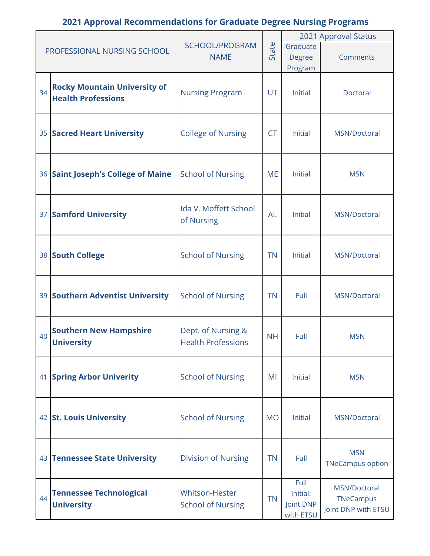|    |                                     |                            |                           |                        | 2021 Approval Status    |  |
|----|-------------------------------------|----------------------------|---------------------------|------------------------|-------------------------|--|
|    | PROFESSIONAL NURSING SCHOOL         | SCHOOL/PROGRAM             | State                     | Graduate               |                         |  |
|    |                                     | <b>NAME</b>                |                           | <b>Degree</b>          | Comments                |  |
|    |                                     |                            |                           | Program                |                         |  |
|    | <b>Rocky Mountain University of</b> |                            |                           |                        |                         |  |
| 34 | <b>Health Professions</b>           | <b>Nursing Program</b>     | UT                        | Initial                | Doctoral                |  |
|    |                                     |                            |                           |                        |                         |  |
|    |                                     |                            |                           |                        |                         |  |
|    | 35 Sacred Heart University          | <b>College of Nursing</b>  | <b>CT</b>                 | Initial                | MSN/Doctoral            |  |
|    |                                     |                            |                           |                        |                         |  |
|    |                                     |                            |                           |                        |                         |  |
|    | 36 Saint Joseph's College of Maine  | <b>School of Nursing</b>   | <b>ME</b>                 | <b>Initial</b>         | <b>MSN</b>              |  |
|    |                                     |                            |                           |                        |                         |  |
|    |                                     |                            |                           |                        |                         |  |
|    | 37 Samford University               | Ida V. Moffett School      | <b>AL</b>                 | Initial                | MSN/Doctoral            |  |
|    |                                     | of Nursing                 |                           |                        |                         |  |
|    |                                     |                            |                           |                        |                         |  |
|    | 38 South College                    | <b>School of Nursing</b>   | <b>TN</b>                 | <b>Initial</b>         | MSN/Doctoral            |  |
|    |                                     |                            |                           |                        |                         |  |
|    |                                     |                            |                           |                        |                         |  |
|    | 39 Southern Adventist University    | <b>School of Nursing</b>   | <b>TN</b>                 | Full                   | MSN/Doctoral            |  |
|    |                                     |                            |                           |                        |                         |  |
|    |                                     |                            |                           |                        |                         |  |
| 40 | <b>Southern New Hampshire</b>       | Dept. of Nursing &         | <b>NH</b>                 | Full                   | <b>MSN</b>              |  |
|    | <b>University</b>                   |                            | <b>Health Professions</b> |                        |                         |  |
|    |                                     |                            |                           |                        |                         |  |
|    | 41 Spring Arbor Univerity           | <b>School of Nursing</b>   | MI                        | <b>Initial</b>         | <b>MSN</b>              |  |
|    |                                     |                            |                           |                        |                         |  |
|    |                                     |                            |                           |                        |                         |  |
|    | 42 St. Louis University             | <b>School of Nursing</b>   | <b>MO</b>                 | <b>Initial</b>         | MSN/Doctoral            |  |
|    |                                     |                            |                           |                        |                         |  |
|    |                                     |                            |                           |                        |                         |  |
|    | 43 Tennessee State University       | <b>Division of Nursing</b> | <b>TN</b>                 | Full                   | <b>MSN</b>              |  |
|    |                                     |                            |                           |                        | <b>TNeCampus option</b> |  |
|    |                                     |                            |                           | Full                   | MSN/Doctoral            |  |
| 44 | <b>Tennessee Technological</b>      | <b>Whitson-Hester</b>      | <b>TN</b>                 | Initial:               | TNeCampus               |  |
|    | <b>University</b>                   | <b>School of Nursing</b>   |                           | Joint DNP<br>with ETSU | Joint DNP with ETSU     |  |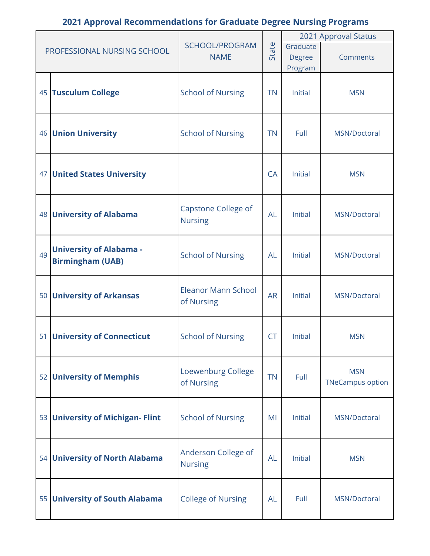|    |                                  |                            |           |                | 2021 Approval Status    |
|----|----------------------------------|----------------------------|-----------|----------------|-------------------------|
|    | PROFESSIONAL NURSING SCHOOL      | SCHOOL/PROGRAM             | State     | Graduate       |                         |
|    |                                  | <b>NAME</b>                |           | Degree         | Comments                |
|    |                                  |                            |           | Program        |                         |
|    |                                  |                            |           |                |                         |
|    | 45 Tusculum College              | <b>School of Nursing</b>   | <b>TN</b> | Initial        | <b>MSN</b>              |
|    |                                  |                            |           |                |                         |
|    |                                  |                            |           |                |                         |
|    | <b>46 Union University</b>       | <b>School of Nursing</b>   | <b>TN</b> | Full           | MSN/Doctoral            |
|    |                                  |                            |           |                |                         |
|    |                                  |                            |           |                |                         |
|    |                                  |                            |           |                |                         |
|    | 47 United States University      |                            | <b>CA</b> | <b>Initial</b> | <b>MSN</b>              |
|    |                                  |                            |           |                |                         |
|    |                                  |                            |           |                |                         |
|    | 48 University of Alabama         | Capstone College of        | <b>AL</b> | Initial        | MSN/Doctoral            |
|    |                                  | <b>Nursing</b>             |           |                |                         |
|    |                                  |                            |           |                |                         |
|    | <b>University of Alabama -</b>   |                            |           |                |                         |
| 49 | <b>Birmingham (UAB)</b>          | <b>School of Nursing</b>   | <b>AL</b> | <b>Initial</b> | MSN/Doctoral            |
|    |                                  |                            |           |                |                         |
|    |                                  | <b>Eleanor Mann School</b> |           |                |                         |
|    | 50 University of Arkansas        | of Nursing                 | <b>AR</b> | Initial        | MSN/Doctoral            |
|    |                                  |                            |           |                |                         |
|    |                                  |                            |           |                |                         |
|    | 51 University of Connecticut     | <b>School of Nursing</b>   | <b>CT</b> | Initial        | <b>MSN</b>              |
|    |                                  |                            |           |                |                         |
|    |                                  |                            |           |                |                         |
|    |                                  | Loewenburg College         |           |                | <b>MSN</b>              |
|    | 52 University of Memphis         | of Nursing                 | <b>TN</b> | Full           | <b>TNeCampus option</b> |
|    |                                  |                            |           |                |                         |
|    |                                  |                            |           |                |                         |
|    | 53 University of Michigan- Flint | <b>School of Nursing</b>   | MI        | Initial        | MSN/Doctoral            |
|    |                                  |                            |           |                |                         |
|    |                                  |                            |           |                |                         |
|    | 54 University of North Alabama   | Anderson College of        | <b>AL</b> | Initial        | <b>MSN</b>              |
|    |                                  | <b>Nursing</b>             |           |                |                         |
|    |                                  |                            |           |                |                         |
|    |                                  |                            |           |                |                         |
|    | 55 University of South Alabama   | <b>College of Nursing</b>  | <b>AL</b> | Full           | MSN/Doctoral            |
|    |                                  |                            |           |                |                         |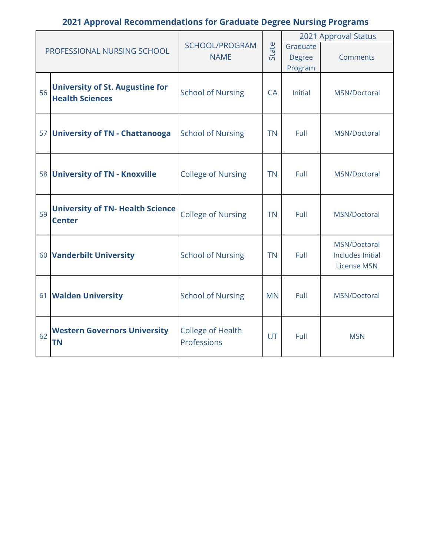| PROFESSIONAL NURSING SCHOOL |                                                                  |                                         |           | 2021 Approval Status |                                                        |  |  |  |
|-----------------------------|------------------------------------------------------------------|-----------------------------------------|-----------|----------------------|--------------------------------------------------------|--|--|--|
|                             |                                                                  | SCHOOL/PROGRAM<br><b>NAME</b>           | State     | Graduate<br>Degree   | Comments                                               |  |  |  |
|                             |                                                                  |                                         |           | Program              |                                                        |  |  |  |
| 56                          | <b>University of St. Augustine for</b><br><b>Health Sciences</b> | <b>School of Nursing</b>                | <b>CA</b> | <b>Initial</b>       | MSN/Doctoral                                           |  |  |  |
|                             | 57 University of TN - Chattanooga                                | <b>School of Nursing</b>                | <b>TN</b> | Full                 | MSN/Doctoral                                           |  |  |  |
|                             | 58 University of TN - Knoxville                                  | <b>College of Nursing</b>               | <b>TN</b> | Full                 | MSN/Doctoral                                           |  |  |  |
| 59                          | <b>University of TN- Health Science</b><br><b>Center</b>         | <b>College of Nursing</b>               | <b>TN</b> | Full                 | MSN/Doctoral                                           |  |  |  |
|                             | 60 Vanderbilt University                                         | <b>School of Nursing</b>                | <b>TN</b> | Full                 | MSN/Doctoral<br>Includes Initial<br><b>License MSN</b> |  |  |  |
|                             | 61 Walden University                                             | <b>School of Nursing</b>                | <b>MN</b> | Full                 | MSN/Doctoral                                           |  |  |  |
| 62                          | <b>Western Governors University</b><br><b>TN</b>                 | <b>College of Health</b><br>Professions | UT        | Full                 | <b>MSN</b>                                             |  |  |  |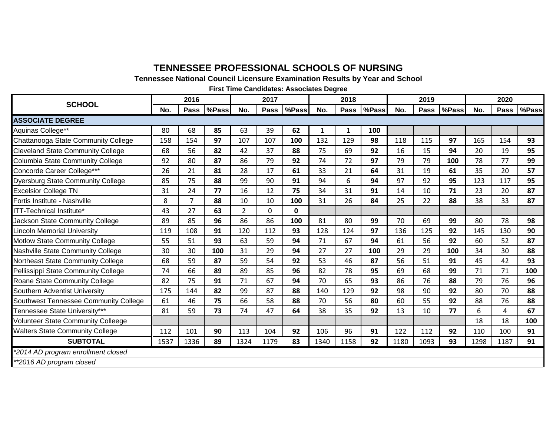#### **TENNESSEE PROFESSIONAL SCHOOLS OF NURSING**

**Tennessee National Council Licensure Examination Results by Year and School**

**First Time Candidates: Associates Degree**

| <b>SCHOOL</b>                             | 2016 |             |       | 2017           |             |             | 2018 |      |       | 2019 |             |       | 2020 |             |       |
|-------------------------------------------|------|-------------|-------|----------------|-------------|-------------|------|------|-------|------|-------------|-------|------|-------------|-------|
|                                           | No.  | <b>Pass</b> | %Pass | No.            | <b>Pass</b> | %Pass       | No.  | Pass | %Pass | No.  | <b>Pass</b> | %Pass | No.  | <b>Pass</b> | %Pass |
| <b>ASSOCIATE DEGREE</b>                   |      |             |       |                |             |             |      |      |       |      |             |       |      |             |       |
| Aquinas College**                         | 80   | 68          | 85    | 63             | 39          | 62          | 1    | 1    | 100   |      |             |       |      |             |       |
| Chattanooga State Community College       | 158  | 154         | 97    | 107            | 107         | 100         | 132  | 129  | 98    | 118  | 115         | 97    | 165  | 154         | 93    |
| <b>Cleveland State Community College</b>  | 68   | 56          | 82    | 42             | 37          | 88          | 75   | 69   | 92    | 16   | 15          | 94    | 20   | 19          | 95    |
| Columbia State Community College          | 92   | 80          | 87    | 86             | 79          | 92          | 74   | 72   | 97    | 79   | 79          | 100   | 78   | 77          | 99    |
| Concorde Career College***                | 26   | 21          | 81    | 28             | 17          | 61          | 33   | 21   | 64    | 31   | 19          | 61    | 35   | 20          | 57    |
| <b>Dyersburg State Community College</b>  | 85   | 75          | 88    | 99             | 90          | 91          | 94   | 6    | 94    | 97   | 92          | 95    | 123  | 117         | 95    |
| <b>Excelsior College TN</b>               | 31   | 24          | 77    | 16             | 12          | 75          | 34   | 31   | 91    | 14   | 10          | 71    | 23   | 20          | 87    |
| Fortis Institute - Nashville              | 8    | 7           | 88    | 10             | 10          | 100         | 31   | 26   | 84    | 25   | 22          | 88    | 38   | 33          | 87    |
| <b>TT-Technical Institute*</b>            | 43   | 27          | 63    | $\overline{2}$ | $\mathbf 0$ | $\mathbf 0$ |      |      |       |      |             |       |      |             |       |
| Jackson State Community College           | 89   | 85          | 96    | 86             | 86          | 100         | 81   | 80   | 99    | 70   | 69          | 99    | 80   | 78          | 98    |
| incoln Memorial University                | 119  | 108         | 91    | 120            | 112         | 93          | 128  | 124  | 97    | 136  | 125         | 92    | 145  | 130         | 90    |
| Motlow State Community College            | 55   | 51          | 93    | 63             | 59          | 94          | 71   | 67   | 94    | 61   | 56          | 92    | 60   | 52          | 87    |
| Nashville State Community College         | 30   | 30          | 100   | 31             | 29          | 94          | 27   | 27   | 100   | 29   | 29          | 100   | 34   | 30          | 88    |
| Northeast State Community College         | 68   | 59          | 87    | 59             | 54          | 92          | 53   | 46   | 87    | 56   | 51          | 91    | 45   | 42          | 93    |
| Pellissippi State Community College       | 74   | 66          | 89    | 89             | 85          | 96          | 82   | 78   | 95    | 69   | 68          | 99    | 71   | 71          | 100   |
| Roane State Community College             | 82   | 75          | 91    | 71             | 67          | 94          | 70   | 65   | 93    | 86   | 76          | 88    | 79   | 76          | 96    |
| Southern Adventist University             | 175  | 144         | 82    | 99             | 87          | 88          | 140  | 129  | 92    | 98   | 90          | 92    | 80   | 70          | 88    |
| Southwest Tennessee Community College     | 61   | 46          | 75    | 66             | 58          | 88          | 70   | 56   | 80    | 60   | 55          | 92    | 88   | 76          | 88    |
| Tennessee State University***             | 81   | 59          | 73    | 74             | 47          | 64          | 38   | 35   | 92    | 13   | 10          | 77    | 6    | 4           | 67    |
| <b>Volunteer State Community Colleege</b> |      |             |       |                |             |             |      |      |       |      |             |       | 18   | 18          | 100   |
| <b>Walters State Community College</b>    | 112  | 101         | 90    | 113            | 104         | 92          | 106  | 96   | 91    | 122  | 112         | 92    | 110  | 100         | 91    |
| <b>SUBTOTAL</b>                           | 1537 | 1336        | 89    | 1324           | 1179        | 83          | 1340 | 1158 | 92    | 1180 | 1093        | 93    | 1298 | 1187        | 91    |
| *2014 AD program enrollment closed        |      |             |       |                |             |             |      |      |       |      |             |       |      |             |       |
| **2016 AD program closed                  |      |             |       |                |             |             |      |      |       |      |             |       |      |             |       |